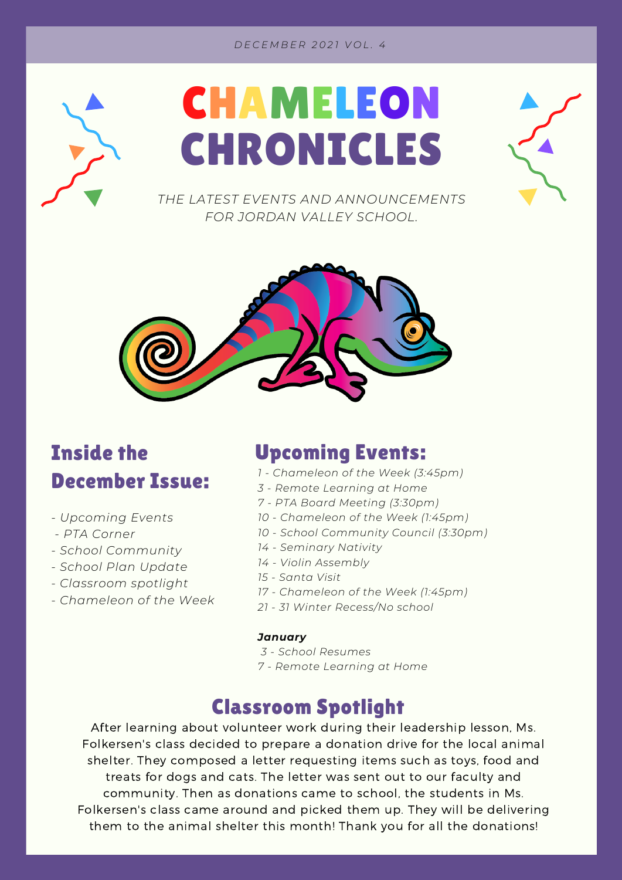#### *D E C E M B E R 2 0 2 1 V O L . 4*





*THE LATEST EVENTS AND ANNOUNCEMENTS FOR JORDAN VALLEY SCHOOL.*



### Inside the December Issue:

- *- Upcoming Events*
- *- PTA Corner*
- *- School Community*
- *- School Plan Update*
- *- Classroom spotlight*
- *- Chameleon of the Week*

#### Upcoming Events:

- *1 - Chameleon of the Week (3:45pm)*
- *3 - Remote Learning at Home*
- *7 - PTA Board Meeting (3:30pm)*
- *10 - Chameleon of the Week (1:45pm)*
- *10 - School Community Council (3:30pm)*
- *14 - Seminary Nativity*
- *14 - Violin Assembly*
- *15 - Santa Visit*
- *17 - Chameleon of the Week (1:45pm)*
- *21 - 31 Winter Recess/No school*

#### *January*

- *3 - School Resumes*
- *7 - Remote Learning at Home*

### Classroom Spotlight

After learning about volunteer work during their leadership lesson, Ms. Folkersen's class decided to prepare a donation drive for the local animal shelter. They composed a letter requesting items such as toys, food and treats for dogs and cats. The letter was sent out to our faculty and community. Then as donations came to school, the students in Ms. Folkersen's class came around and picked them up. They will be delivering them to the animal shelter this month! Thank you for all the donations!